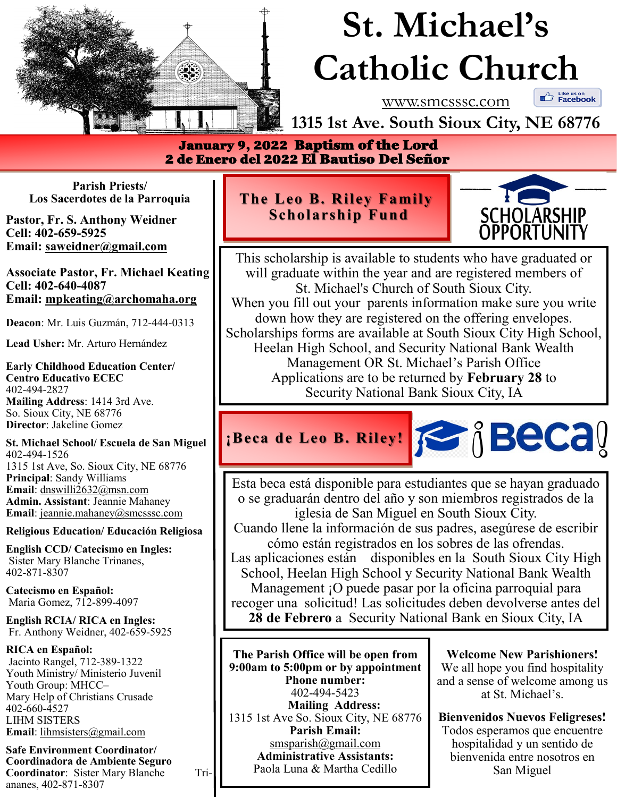

# **St. Michael's Catholic Church**

www.smcsssc.com

 $\mathbb{C}$  Like us on<br>**Example 18** 

**1315 1st Ave. South Sioux City, NE 68776**

 January 9, 2022 Baptism of the Lord 2 de Enero del 2022 El Bautiso Del Señor

**Parish Priests/ Los Sacerdotes de la Parroquia** 

**Pastor, Fr. S. Anthony Weidner Cell: 402-659-5925 Email: saweidner@gmail.com** 

**Associate Pastor, Fr. Michael Keating Cell: 402-640-4087 Email: mpkeating@archomaha.org** 

**Deacon**: Mr. Luis Guzmán, 712-444-0313

**Lead Usher:** Mr. Arturo Hernández

**Early Childhood Education Center/ Centro Educativo ECEC** 402-494-2827 **Mailing Address**: 1414 3rd Ave. So. Sioux City, NE 68776 **Director**: Jakeline Gomez

**St. Michael School/ Escuela de San Miguel** 402-494-1526 1315 1st Ave, So. Sioux City, NE 68776 **Principal**: Sandy Williams **Email**: dnswilli2632@msn.com **Admin. Assistant**: Jeannie Mahaney **Email**: jeannie.mahaney@smcsssc.com

**Religious Education/ Educación Religiosa** 

**English CCD/ Catecismo en Ingles:** Sister Mary Blanche Trinanes, 402-871-8307

**Catecismo en Español:** Maria Gomez, 712-899-4097

**English RCIA/ RICA en Ingles:** Fr. Anthony Weidner, 402-659-5925

**RICA en Español:** Jacinto Rangel, 712-389-1322 Youth Ministry/ Ministerio Juvenil Youth Group: MHCC– Mary Help of Christians Crusade 402-660-4527 LIHM SISTERS **Email**: lihmsisters@gmail.com

**Safe Environment Coordinator/ Coordinadora de Ambiente Seguro Coordinator:** Sister Mary Blanche Triananes, 402-871-8307

## **The Leo B. Riley Family Scholarship Fund**



This scholarship is available to students who have graduated or will graduate within the year and are registered members of St. Michael's Church of South Sioux City. When you fill out your parents information make sure you write down how they are registered on the offering envelopes. Scholarships forms are available at South Sioux City High School, Heelan High School, and Security National Bank Wealth Management OR St. Michael's Parish Office Applications are to be returned by **February 28** to Security National Bank Sioux City, IA

## **FECALT REPARTMENT BECALT**

Esta beca está disponible para estudiantes que se hayan graduado o se graduarán dentro del año y son miembros registrados de la iglesia de San Miguel en South Sioux City.

Cuando llene la información de sus padres, asegúrese de escribir cómo están registrados en los sobres de las ofrendas.

Las aplicaciones están disponibles en la South Sioux City High School, Heelan High School y Security National Bank Wealth Management ¡O puede pasar por la oficina parroquial para recoger una solicitud! Las solicitudes deben devolverse antes del **28 de Febrero** a Security National Bank en Sioux City, IA

**The Parish Office will be open from 9:00am to 5:00pm or by appointment Phone number:**  402-494-5423 **Mailing Address:**  1315 1st Ave So. Sioux City, NE 68776 **Parish Email:**  smsparish@gmail.com **Administrative Assistants:**  Paola Luna & Martha Cedillo

**Welcome New Parishioners!** We all hope you find hospitality and a sense of welcome among us at St. Michael's.

**Bienvenidos Nuevos Feligreses!** Todos esperamos que encuentre hospitalidad y un sentido de bienvenida entre nosotros en San Miguel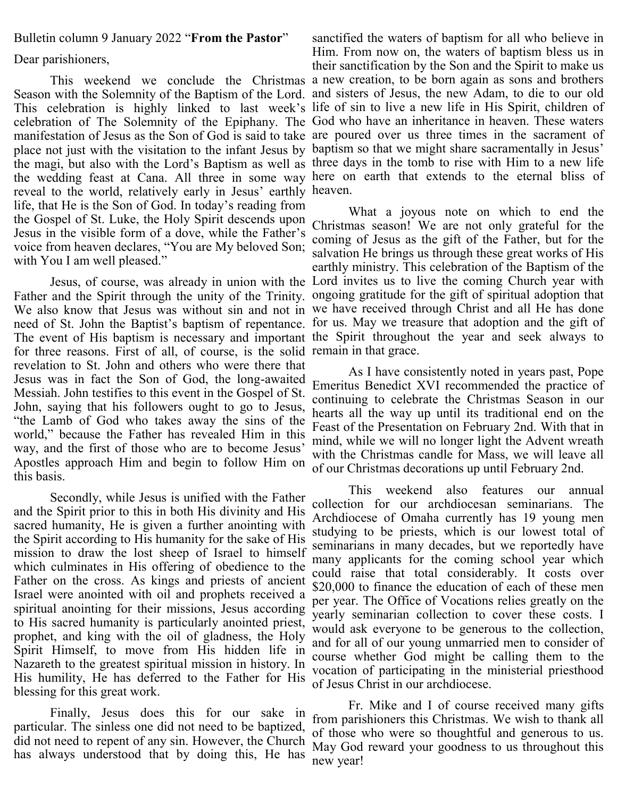#### Bulletin column 9 January 2022 "**From the Pastor**"

#### Dear parishioners,

reveal to the world, relatively early in Jesus' earthly heaven. life, that He is the Son of God. In today's reading from the Gospel of St. Luke, the Holy Spirit descends upon Jesus in the visible form of a dove, while the Father's voice from heaven declares, "You are My beloved Son; with You I am well pleased."

for three reasons. First of all, of course, is the solid remain in that grace. revelation to St. John and others who were there that Jesus was in fact the Son of God, the long-awaited Messiah. John testifies to this event in the Gospel of St. John, saying that his followers ought to go to Jesus, "the Lamb of God who takes away the sins of the world," because the Father has revealed Him in this way, and the first of those who are to become Jesus' Apostles approach Him and begin to follow Him on this basis.

Secondly, while Jesus is unified with the Father and the Spirit prior to this in both His divinity and His sacred humanity, He is given a further anointing with the Spirit according to His humanity for the sake of His mission to draw the lost sheep of Israel to himself which culminates in His offering of obedience to the Father on the cross. As kings and priests of ancient Israel were anointed with oil and prophets received a spiritual anointing for their missions, Jesus according to His sacred humanity is particularly anointed priest, prophet, and king with the oil of gladness, the Holy Spirit Himself, to move from His hidden life in Nazareth to the greatest spiritual mission in history. In His humility, He has deferred to the Father for His blessing for this great work.

Finally, Jesus does this for our sake in particular. The sinless one did not need to be baptized, did not need to repent of any sin. However, the Church has always understood that by doing this, He has

This weekend we conclude the Christmas a new creation, to be born again as sons and brothers Season with the Solemnity of the Baptism of the Lord. and sisters of Jesus, the new Adam, to die to our old This celebration is highly linked to last week's life of sin to live a new life in His Spirit, children of celebration of The Solemnity of the Epiphany. The God who have an inheritance in heaven. These waters manifestation of Jesus as the Son of God is said to take are poured over us three times in the sacrament of place not just with the visitation to the infant Jesus by baptism so that we might share sacramentally in Jesus' the magi, but also with the Lord's Baptism as well as three days in the tomb to rise with Him to a new life the wedding feast at Cana. All three in some way here on earth that extends to the eternal bliss of sanctified the waters of baptism for all who believe in Him. From now on, the waters of baptism bless us in their sanctification by the Son and the Spirit to make us

Jesus, of course, was already in union with the Lord invites us to live the coming Church year with Father and the Spirit through the unity of the Trinity. ongoing gratitude for the gift of spiritual adoption that We also know that Jesus was without sin and not in we have received through Christ and all He has done need of St. John the Baptist's baptism of repentance. for us. May we treasure that adoption and the gift of The event of His baptism is necessary and important the Spirit throughout the year and seek always to What a joyous note on which to end the Christmas season! We are not only grateful for the coming of Jesus as the gift of the Father, but for the salvation He brings us through these great works of His earthly ministry. This celebration of the Baptism of the

> As I have consistently noted in years past, Pope Emeritus Benedict XVI recommended the practice of continuing to celebrate the Christmas Season in our hearts all the way up until its traditional end on the Feast of the Presentation on February 2nd. With that in mind, while we will no longer light the Advent wreath with the Christmas candle for Mass, we will leave all of our Christmas decorations up until February 2nd.

> This weekend also features our annual collection for our archdiocesan seminarians. The Archdiocese of Omaha currently has 19 young men studying to be priests, which is our lowest total of seminarians in many decades, but we reportedly have many applicants for the coming school year which could raise that total considerably. It costs over \$20,000 to finance the education of each of these men per year. The Office of Vocations relies greatly on the yearly seminarian collection to cover these costs. I would ask everyone to be generous to the collection, and for all of our young unmarried men to consider of course whether God might be calling them to the vocation of participating in the ministerial priesthood of Jesus Christ in our archdiocese.

> Fr. Mike and I of course received many gifts from parishioners this Christmas. We wish to thank all of those who were so thoughtful and generous to us. May God reward your goodness to us throughout this new year!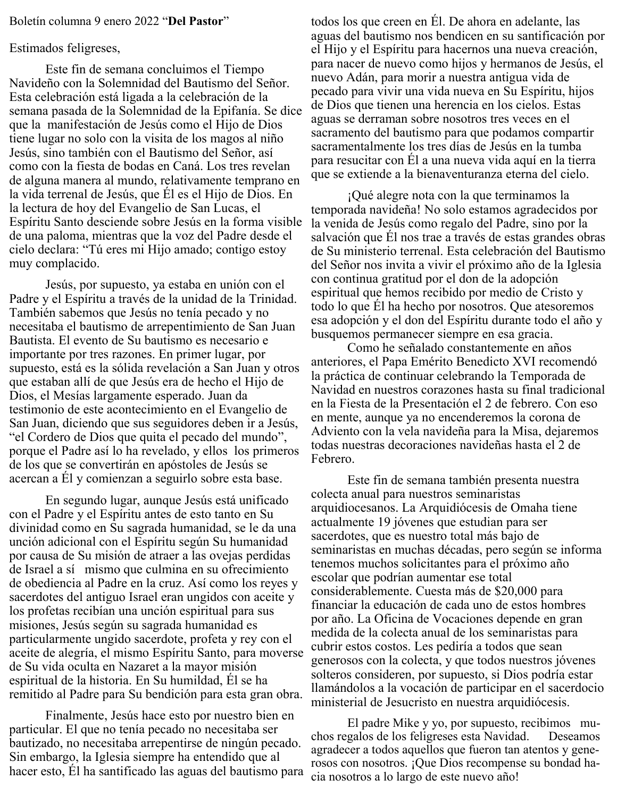#### Boletín columna 9 enero 2022 "**Del Pastor**"

#### Estimados feligreses,

Este fin de semana concluimos el Tiempo Navideño con la Solemnidad del Bautismo del Señor. Esta celebración está ligada a la celebración de la semana pasada de la Solemnidad de la Epifanía. Se dice que la manifestación de Jesús como el Hijo de Dios tiene lugar no solo con la visita de los magos al niño Jesús, sino también con el Bautismo del Señor, así como con la fiesta de bodas en Caná. Los tres revelan de alguna manera al mundo, relativamente temprano en la vida terrenal de Jesús, que Él es el Hijo de Dios. En la lectura de hoy del Evangelio de San Lucas, el Espíritu Santo desciende sobre Jesús en la forma visible de una paloma, mientras que la voz del Padre desde el cielo declara: "Tú eres mi Hijo amado; contigo estoy muy complacido.

Jesús, por supuesto, ya estaba en unión con el Padre y el Espíritu a través de la unidad de la Trinidad. También sabemos que Jesús no tenía pecado y no necesitaba el bautismo de arrepentimiento de San Juan Bautista. El evento de Su bautismo es necesario e importante por tres razones. En primer lugar, por supuesto, está es la sólida revelación a San Juan y otros que estaban allí de que Jesús era de hecho el Hijo de Dios, el Mesías largamente esperado. Juan da testimonio de este acontecimiento en el Evangelio de San Juan, diciendo que sus seguidores deben ir a Jesús, "el Cordero de Dios que quita el pecado del mundo", porque el Padre así lo ha revelado, y ellos los primeros de los que se convertirán en apóstoles de Jesús se acercan a Él y comienzan a seguirlo sobre esta base.

En segundo lugar, aunque Jesús está unificado con el Padre y el Espíritu antes de esto tanto en Su divinidad como en Su sagrada humanidad, se le da una unción adicional con el Espíritu según Su humanidad por causa de Su misión de atraer a las ovejas perdidas de Israel a sí mismo que culmina en su ofrecimiento de obediencia al Padre en la cruz. Así como los reyes y sacerdotes del antiguo Israel eran ungidos con aceite y los profetas recibían una unción espiritual para sus misiones, Jesús según su sagrada humanidad es particularmente ungido sacerdote, profeta y rey con el aceite de alegría, el mismo Espíritu Santo, para moverse de Su vida oculta en Nazaret a la mayor misión espiritual de la historia. En Su humildad, Él se ha remitido al Padre para Su bendición para esta gran obra.

Finalmente, Jesús hace esto por nuestro bien en particular. El que no tenía pecado no necesitaba ser bautizado, no necesitaba arrepentirse de ningún pecado. Sin embargo, la Iglesia siempre ha entendido que al hacer esto, Él ha santificado las aguas del bautismo para

todos los que creen en Él. De ahora en adelante, las aguas del bautismo nos bendicen en su santificación por el Hijo y el Espíritu para hacernos una nueva creación, para nacer de nuevo como hijos y hermanos de Jesús, el nuevo Adán, para morir a nuestra antigua vida de pecado para vivir una vida nueva en Su Espíritu, hijos de Dios que tienen una herencia en los cielos. Estas aguas se derraman sobre nosotros tres veces en el sacramento del bautismo para que podamos compartir sacramentalmente los tres días de Jesús en la tumba para resucitar con Él a una nueva vida aquí en la tierra que se extiende a la bienaventuranza eterna del cielo.

¡Qué alegre nota con la que terminamos la temporada navideña! No solo estamos agradecidos por la venida de Jesús como regalo del Padre, sino por la salvación que Él nos trae a través de estas grandes obras de Su ministerio terrenal. Esta celebración del Bautismo del Señor nos invita a vivir el próximo año de la Iglesia con continua gratitud por el don de la adopción espiritual que hemos recibido por medio de Cristo y todo lo que Él ha hecho por nosotros. Que atesoremos esa adopción y el don del Espíritu durante todo el año y busquemos permanecer siempre en esa gracia.

Como he señalado constantemente en años anteriores, el Papa Emérito Benedicto XVI recomendó la práctica de continuar celebrando la Temporada de Navidad en nuestros corazones hasta su final tradicional en la Fiesta de la Presentación el 2 de febrero. Con eso en mente, aunque ya no encenderemos la corona de Adviento con la vela navideña para la Misa, dejaremos todas nuestras decoraciones navideñas hasta el 2 de Febrero.

Este fin de semana también presenta nuestra colecta anual para nuestros seminaristas arquidiocesanos. La Arquidiócesis de Omaha tiene actualmente 19 jóvenes que estudian para ser sacerdotes, que es nuestro total más bajo de seminaristas en muchas décadas, pero según se informa tenemos muchos solicitantes para el próximo año escolar que podrían aumentar ese total considerablemente. Cuesta más de \$20,000 para financiar la educación de cada uno de estos hombres por año. La Oficina de Vocaciones depende en gran medida de la colecta anual de los seminaristas para cubrir estos costos. Les pediría a todos que sean generosos con la colecta, y que todos nuestros jóvenes solteros consideren, por supuesto, si Dios podría estar llamándolos a la vocación de participar en el sacerdocio ministerial de Jesucristo en nuestra arquidiócesis.

El padre Mike y yo, por supuesto, recibimos muchos regalos de los feligreses esta Navidad. Deseamos agradecer a todos aquellos que fueron tan atentos y generosos con nosotros. ¡Que Dios recompense su bondad hacia nosotros a lo largo de este nuevo año!